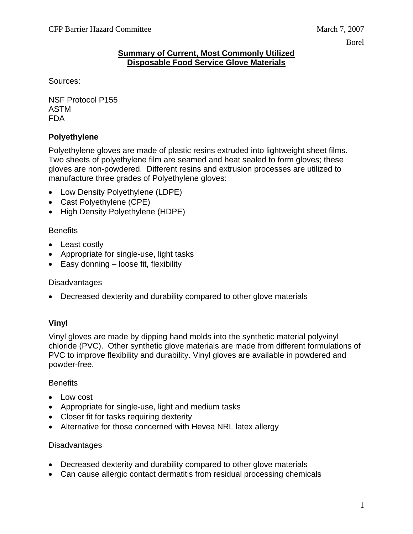#### **Summary of Current, Most Commonly Utilized Disposable Food Service Glove Materials**

Sources:

NSF Protocol P155 ASTM FDA

# **Polyethylene**

Polyethylene gloves are made of plastic resins extruded into lightweight sheet films. Two sheets of polyethylene film are seamed and heat sealed to form gloves; these gloves are non-powdered. Different resins and extrusion processes are utilized to manufacture three grades of Polyethylene gloves:

- Low Density Polyethylene (LDPE)
- Cast Polyethylene (CPE)
- High Density Polyethylene (HDPE)

### **Benefits**

- Least costly
- Appropriate for single-use, light tasks
- Easy donning loose fit, flexibility

## **Disadvantages**

• Decreased dexterity and durability compared to other glove materials

## **Vinyl**

Vinyl gloves are made by dipping hand molds into the synthetic material polyvinyl chloride (PVC). Other synthetic glove materials are made from different formulations of PVC to improve flexibility and durability. Vinyl gloves are available in powdered and powder-free.

#### **Benefits**

- Low cost
- Appropriate for single-use, light and medium tasks
- Closer fit for tasks requiring dexterity
- Alternative for those concerned with Hevea NRL latex allergy

#### **Disadvantages**

- Decreased dexterity and durability compared to other glove materials
- Can cause allergic contact dermatitis from residual processing chemicals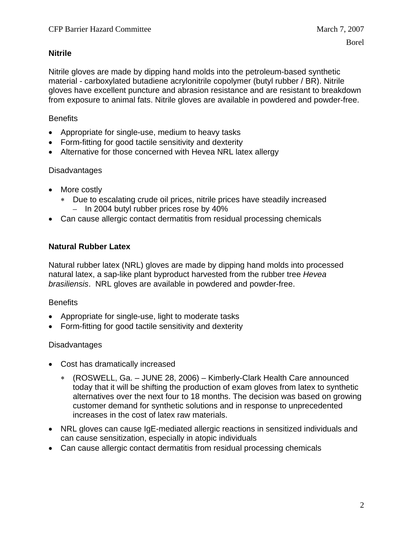### **Nitrile**

Nitrile gloves are made by dipping hand molds into the petroleum-based synthetic material - carboxylated butadiene acrylonitrile copolymer (butyl rubber / BR). Nitrile gloves have excellent puncture and abrasion resistance and are resistant to breakdown from exposure to animal fats. Nitrile gloves are available in powdered and powder-free.

### **Benefits**

- Appropriate for single-use, medium to heavy tasks
- Form-fitting for good tactile sensitivity and dexterity
- Alternative for those concerned with Hevea NRL latex allergy

#### **Disadvantages**

- More costly
	- ∗ Due to escalating crude oil prices, nitrile prices have steadily increased – In 2004 butyl rubber prices rose by 40%
- Can cause allergic contact dermatitis from residual processing chemicals

### **Natural Rubber Latex**

Natural rubber latex (NRL) gloves are made by dipping hand molds into processed natural latex, a sap-like plant byproduct harvested from the rubber tree *Hevea brasiliensis*. NRL gloves are available in powdered and powder-free.

#### **Benefits**

- Appropriate for single-use, light to moderate tasks
- Form-fitting for good tactile sensitivity and dexterity

#### **Disadvantages**

- Cost has dramatically increased
	- ∗ (ROSWELL, Ga. JUNE 28, 2006) Kimberly-Clark Health Care announced today that it will be shifting the production of exam gloves from latex to synthetic alternatives over the next four to 18 months. The decision was based on growing customer demand for synthetic solutions and in response to unprecedented increases in the cost of latex raw materials.
- NRL gloves can cause IgE-mediated allergic reactions in sensitized individuals and can cause sensitization, especially in atopic individuals
- Can cause allergic contact dermatitis from residual processing chemicals